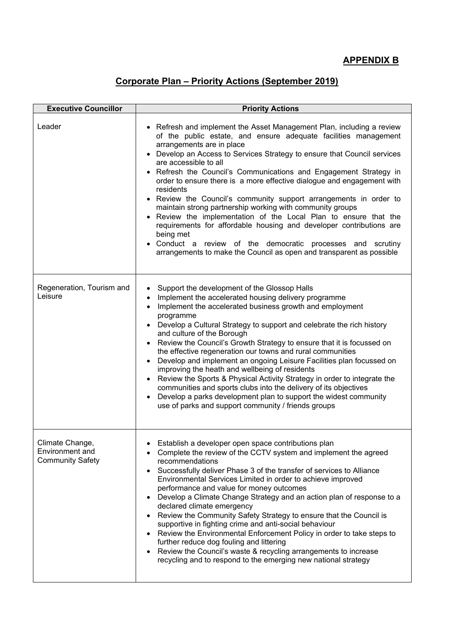## **APPENDIX B**

## **Corporate Plan – Priority Actions (September 2019)**

| <b>Executive Councillor</b>                                   | <b>Priority Actions</b>                                                                                                                                                                                                                                                                                                                                                                                                                                                                                                                                                                                                                                                                                                                                                                                                                                                 |
|---------------------------------------------------------------|-------------------------------------------------------------------------------------------------------------------------------------------------------------------------------------------------------------------------------------------------------------------------------------------------------------------------------------------------------------------------------------------------------------------------------------------------------------------------------------------------------------------------------------------------------------------------------------------------------------------------------------------------------------------------------------------------------------------------------------------------------------------------------------------------------------------------------------------------------------------------|
| Leader                                                        | • Refresh and implement the Asset Management Plan, including a review<br>of the public estate, and ensure adequate facilities management<br>arrangements are in place<br>Develop an Access to Services Strategy to ensure that Council services<br>are accessible to all<br>Refresh the Council's Communications and Engagement Strategy in<br>order to ensure there is a more effective dialogue and engagement with<br>residents<br>Review the Council's community support arrangements in order to<br>maintain strong partnership working with community groups<br>Review the implementation of the Local Plan to ensure that the<br>requirements for affordable housing and developer contributions are<br>being met<br>Conduct a review of the democratic processes and scrutiny<br>arrangements to make the Council as open and transparent as possible           |
| Regeneration, Tourism and<br>Leisure                          | Support the development of the Glossop Halls<br>Implement the accelerated housing delivery programme<br>$\bullet$<br>Implement the accelerated business growth and employment<br>$\bullet$<br>programme<br>Develop a Cultural Strategy to support and celebrate the rich history<br>and culture of the Borough<br>Review the Council's Growth Strategy to ensure that it is focussed on<br>the effective regeneration our towns and rural communities<br>Develop and implement an ongoing Leisure Facilities plan focussed on<br>$\bullet$<br>improving the heath and wellbeing of residents<br>Review the Sports & Physical Activity Strategy in order to integrate the<br>communities and sports clubs into the delivery of its objectives<br>Develop a parks development plan to support the widest community<br>use of parks and support community / friends groups |
| Climate Change,<br>Environment and<br><b>Community Safety</b> | • Establish a developer open space contributions plan<br>Complete the review of the CCTV system and implement the agreed<br>$\bullet$<br>recommendations<br>Successfully deliver Phase 3 of the transfer of services to Alliance<br>$\bullet$<br>Environmental Services Limited in order to achieve improved<br>performance and value for money outcomes<br>Develop a Climate Change Strategy and an action plan of response to a<br>declared climate emergency<br>Review the Community Safety Strategy to ensure that the Council is<br>supportive in fighting crime and anti-social behaviour<br>Review the Environmental Enforcement Policy in order to take steps to<br>$\bullet$<br>further reduce dog fouling and littering<br>Review the Council's waste & recycling arrangements to increase<br>recycling and to respond to the emerging new national strategy  |